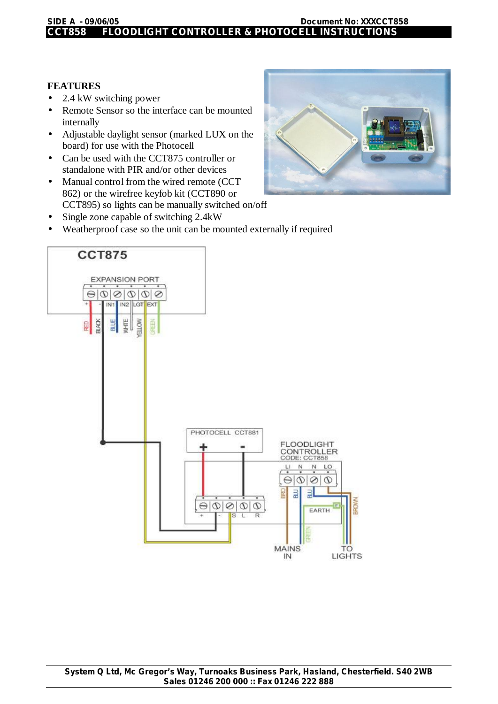## **CCT858 FLOODLIGHT CONTROLLER & PHOTOCELL INSTRUCTIONS**

## **FEATURES**

- 2.4 kW switching power
- Remote Sensor so the interface can be mounted internally
- Adjustable daylight sensor (marked LUX on the board) for use with the Photocell
- Can be used with the CCT875 controller or standalone with PIR and/or other devices
- Manual control from the wired remote (CCT 862) or the wirefree keyfob kit (CCT890 or CCT895) so lights can be manually switched on/off
- Single zone capable of switching 2.4kW
- Weatherproof case so the unit can be mounted externally if required